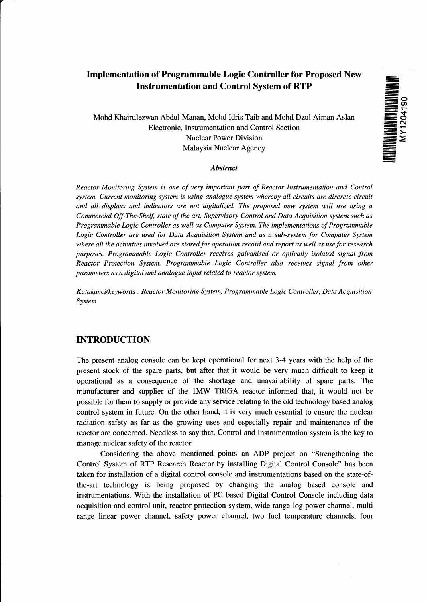# **THE REAL PROPERTY AND REAL PROPERTY**

# **Implementation of Programmable Logic Controller for Proposed New Instrumentation and Control System of RTP**

Mohd Khairalezwan Abdul Manan, Mohd Idris Taib and Mohd Dzul Aiman Aslan Electronic, Instrumentation and Control Section Nuclear Power Division Malaysia Nuclear Agency

### *Abstract*

*Reactor Monitoring System is one of very important part of Reactor Instrumentation and Control system. Current monitoring system is using analogue system whereby all circuits are discrete circuit and all displays and indicators are not digitalized. The proposed new system will use using a Commercial Off-The-Shelf, state of the art, Supervisory Control and Data Acquisition system such as Programmable Logic Controller as well as Computer System. The implementations of Programmable* Logic Controller are used for Data Acquisition System and as a sub-system for Computer System *where all the activities involved are stored for operation record and report as well as use for research purposes. Programmable Logic Controller receives galvanised or optically isolated signal from Reactor Protection System. Programmable Logic Controller also receives signal from other parameters as a digital and analogue input related to reactor system.*

*Katakunci/keywords : Reactor Monitoring System, Programmable Logic Controller, Data Acquisition System*

# **INTRODUCTION**

The present analog console can be kept operational for next 3-4 years with the help of the present stock of the spare parts, but after that it would be very much difficult to keep it operational as a consequence of the shortage and unavailability of spare parts. The manufacturer and supplier of the 1MW TRIGA reactor informed that, it would not be possible for them to supply or provide any service relating to the old technology based analog control system in future. On the other hand, it is very much essential to ensure the nuclear radiation safety as far as the growing uses and especially repair and maintenance of the reactor are concerned. Needless to say that, Control and Instrumentation system is the key to manage nuclear safety of the reactor.

Considering the above mentioned points an ADP project on "Strengthening the Control System of RTP Research Reactor by installing Digital Control Console" has been taken for installation of a digital control console and instrumentations based on the state-ofthe-art technology is being proposed by changing the analog based console and instrumentations. With the installation of PC based Digital Control Console including data acquisition and control unit, reactor protection system, wide range log power channel, multi range linear power channel, safety power channel, two fuel temperature channels, four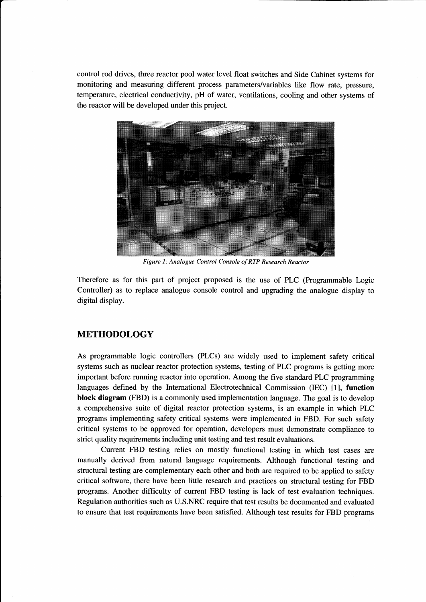control rod drives, three reactor pool water level float switches and Side Cabinet systems for monitoring and measuring different process parameters/variables like flow rate, pressure, temperature, electrical conductivity, pH of water, ventilations, cooling and other systems of the reactor will be developed under this project.



*Figure 1: Analogue Control Console of RTP Research Reactor* 

Therefore as for this part of project proposed is the use of PLC (Programmable Logic Controller) as to replace analogue console control and upgrading the analogue display to digital display.

# **METHODOLOGY**

As programmable logic controllers (PLCs) are widely used to implement safety critical systems such as nuclear reactor protection systems, testing of PLC programs is getting more important before running reactor into operation. Among the five standard PLC programming languages defined by the International Electrotechnical Commission (IEC) [1], **function block diagram** (FBD) is a commonly used implementation language. The goal is to develop a comprehensive suite of digital reactor protection systems, is an example in which PLC programs implementing safety critical systems were implemented in FBD. For such safety critical systems to be approved for operation, developers must demonstrate compliance to strict quality requirements including unit testing and test result evaluations.

Current FBD testing relies on mostly functional testing in which test cases are manually derived from natural language requirements. Although functional testing and structural testing are complementary each other and both are required to be applied to safety critical software, there have been little research and practices on structural testing for FBD programs. Another difficulty of current FBD testing is lack of test evaluation techniques. Regulation authorities such as U.S.NRC require that test results be documented and evaluated to ensure that test requirements have been satisfied. Although test results for FBD programs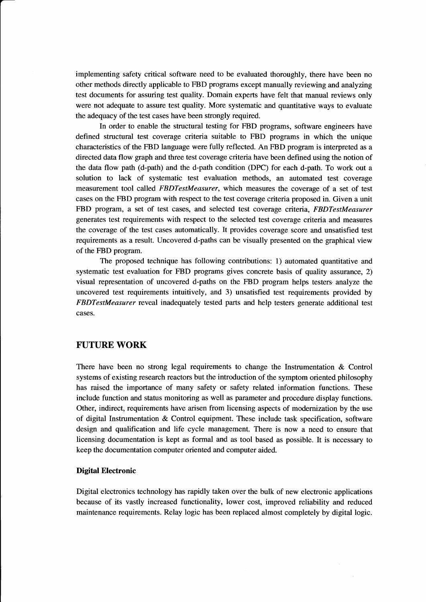implementing safety critical software need to be evaluated thoroughly, there have been no other methods directly applicable to FBD programs except manually reviewing and analyzing test documents for assuring test quality. Domain experts have felt that manual reviews only were not adequate to assure test quality. More systematic and quantitative ways to evaluate the adequacy of the test cases have been strongly required.

In order to enable the structural testing for FBD programs, software engineers have defined structural test coverage criteria suitable to FBD programs in which the unique characteristics of the FBD language were fully reflected. An FBD program is interpreted as a directed data flow graph and three test coverage criteria have been defined using the notion of the data flow path (d-path) and the d-path condition (DPC) for each d-path. To work out a solution to lack of systematic test evaluation methods, an automated test coverage measurement tool called *FBDTestMeasurer,* which measures the coverage of a set of test cases on the FBD program with respect to the test coverage criteria proposed in. Given a unit FBD program, a set of test cases, and selected test coverage criteria, *FBDTestMeasurer* generates test requirements with respect to the selected test coverage criteria and measures the coverage of the test cases automatically. It provides coverage score and unsatisfied test requirements as a result. Uncovered d-paths can be visually presented on the graphical view of the FBD program.

The proposed technique has following contributions: 1) automated quantitative and systematic test evaluation for FBD programs gives concrete basis of quality assurance, 2) visual representation of uncovered d-paths on the FBD program helps testers analyze the uncovered test requirements intuitively, and 3) unsatisfied test requirements provided by *FBDTestMeasurer* reveal inadequately tested parts and help testers generate additional test cases.

# **FUTURE WORK**

There have been no strong legal requirements to change the Instrumentation & Control systems of existing research reactors but the introduction of the symptom oriented philosophy has raised the importance of many safety or safety related information functions. These include function and status monitoring as well as parameter and procedure display functions. Other, indirect, requirements have arisen from licensing aspects of modernization by the use of digital Instrumentation & Control equipment. These include task specification, software design and qualification and life cycle management. There is now a need to ensure that licensing documentation is kept as formal and as tool based as possible. It is necessary to keep the documentation computer oriented and computer aided.

### **Digital Electronic**

Digital electronics technology has rapidly taken over the bulk of new electronic applications because of its vastly increased functionality, lower cost, improved reliability and reduced maintenance requirements. Relay logic has been replaced almost completely by digital logic.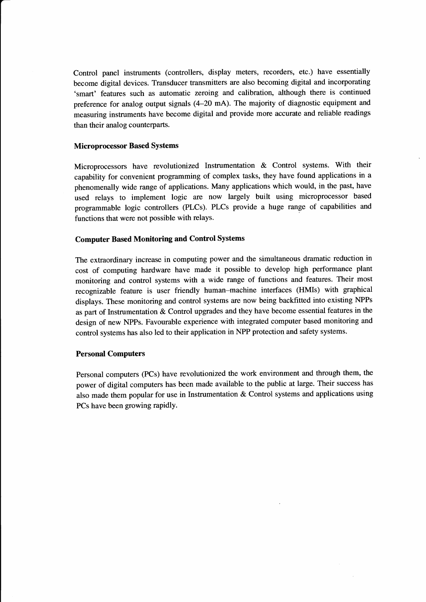Control panel instruments (controllers, display meters, recorders, etc.) have essentially become digital devices. Transducer transmitters are also becoming digital and incorporating 'smart' features such as automatic zeroing and calibration, although there is continued preference for analog output signals (4-20 mA). The majority of diagnostic equipment and measuring instruments have become digital and provide more accurate and reliable readings than their analog counterparts.

### **Microprocessor Based Systems**

Microprocessors have revolutionized Instrumentation & Control systems. With their capability for convenient programming of complex tasks, they have found applications in a phenomenally wide range of applications. Many applications which would, in the past, have used relays to implement logic are now largely built using microprocessor based programmable logic controllers (PLCs). PLCs provide a huge range of capabilities and functions that were not possible with relays.

### **Computer Based Monitoring and Control Systems**

The extraordinary increase in computing power and the simultaneous dramatic reduction in cost of computing hardware have made it possible to develop high performance plant monitoring and control systems with a wide range of functions and features. Their most recognizable feature is user friendly human-machine interfaces (HMIs) with graphical displays. These monitoring and control systems are now being backfitted into existing NPPs as part of Instrumentation & Control upgrades and they have become essential features in the design of new NPPs. Favourable experience with integrated computer based monitoring and control systems has also led to their application in NPP protection and safety systems.

### **Personal Computers**

Personal computers (PCs) have revolutionized the work environment and through them, the power of digital computers has been made available to the public at large. Their success has also made them popular for use in Instrumentation & Control systems and applications using PCs have been growing rapidly.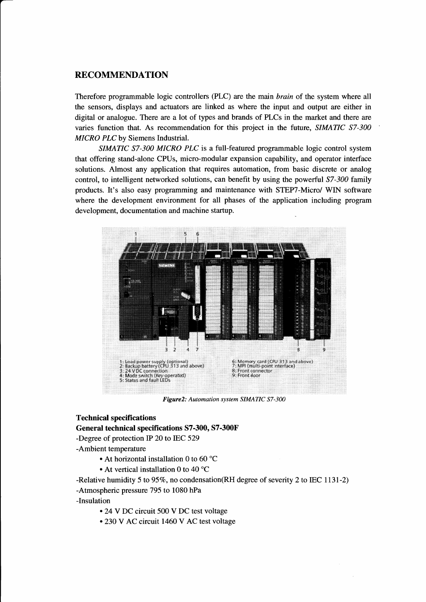# **RECOMMENDATION**

Therefore programmable logic controllers (PLC) are the main *brain* of the system where all the sensors, displays and actuators are linked as where the input and output are either in digital or analogue. There are a lot of types and brands of PLCs in the market and there are varies function that. As recommendation for this project in the future, SIMATIC S7-300 **MICRO PLC** by Siemens Industrial.

SIMATIC S7-300 MICRO PLC is a full-featured programmable logic control system that offering stand-alone CPUs, micro-modular expansion capability, and operator interface solutions. Almost any application that requires automation, from basic discrete or analog control, to intelligent networked solutions, can benefit by using the powerful S7-300 family products. It's also easy programming and maintenance with STEP7-Micro/ WIN software where the development environment for all phases of the application including program development, documentation and machine startup.



Figure2: Automation system SIMATIC S7-300

### **Technical specifications**

General technical specifications S7-300, S7-300F

-Degree of protection IP 20 to IEC 529

-Ambient temperature

- At horizontal installation 0 to 60 °C
- At vertical installation 0 to 40 °C

-Relative humidity 5 to 95%, no condensation (RH degree of severity 2 to IEC 1131-2)

-Atmospheric pressure 795 to 1080 hPa

-Insulation

- 24 V DC circuit 500 V DC test voltage
- 230 V AC circuit 1460 V AC test voltage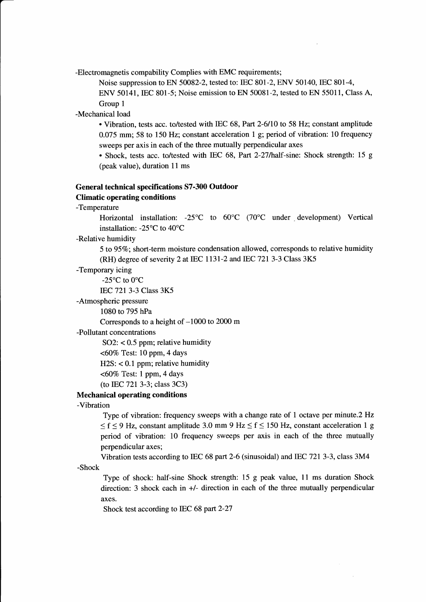-Electromagnetis compability Complies with EMC requirements;

Noise suppression to EN 50082-2, tested to: IEC 801-2, ENV 50140, IEC 801-4,

ENV 50141, IEC 801-5; Noise emission to EN 50081-2, tested to EN 55011, Class A, Group 1

-Mechanical load

• Vibration, tests acc. to/tested with IEC 68, Part 2-6/10 to 58 Hz; constant amplitude 0.075 mm; 58 to 150 Hz; constant acceleration 1 g; period of vibration: 10 frequency sweeps per axis in each of the three mutually perpendicular axes

• Shock, tests acc. to/tested with IEC 68, Part 2-27/half-sine: Shock strength: 15 g (peak value), duration 11 ms

## **General technical specifications S7-300 Outdoor Climatic operating conditions**

-Temperature

Horizontal installation: -25°C to 60°C (70°C under development) Vertical installation: -25°C to 40°C

-Relative humidity

5 to 95%; short-term moisture condensation allowed, corresponds to relative humidity (RH) degree of severity 2 at IEC 1131-2 and IEC 721 3-3 Class 3K5

-Temporary icing

-25°C to 0°C

IEC 721 3-3 Class 3K5

-Atmospheric pressure

1080 to 795 hPa

Corresponds to a height of -1000 to 2000 m

-Pollutant concentrations

SO2:  $< 0.5$  ppm; relative humidity

<60% Test: 10 ppm, 4 days

 $H2S: < 0.1$  ppm; relative humidity

<60% Test: 1 ppm, 4 days

(to IEC 721 3-3; class 3C3)

**Mechanical operating conditions**

-Vibration

Type of vibration: frequency sweeps with a change rate of 1 octave per minute.2 Hz  $\leq f \leq 9$  Hz, constant amplitude 3.0 mm 9 Hz  $\leq f \leq 150$  Hz, constant acceleration 1 g period of vibration: 10 frequency sweeps per axis in each of the three mutually perpendicular axes;

Vibration tests according to IEC 68 part 2-6 (sinusoidal) and IEC 721 3-3, class 3M4 -Shock

Type of shock: half-sine Shock strength: 15 g peak value, 11 ms duration Shock direction: 3 shock each in +/- direction in each of the three mutually perpendicular axes.

Shock test according to IEC 68 part 2-27